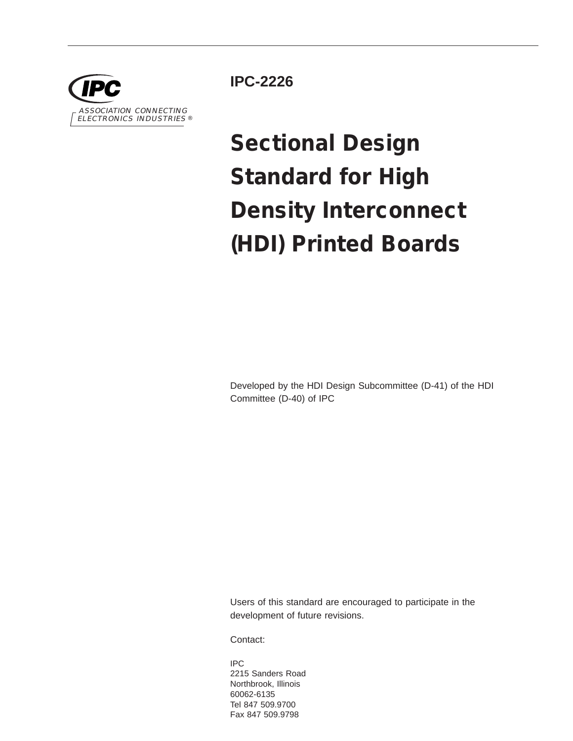

**IPC-2226**

# **Sectional Design Standard for High Density Interconnect (HDI) Printed Boards**

Developed by the HDI Design Subcommittee (D-41) of the HDI Committee (D-40) of IPC

Users of this standard are encouraged to participate in the development of future revisions.

Contact:

IPC 2215 Sanders Road Northbrook, Illinois 60062-6135 Tel 847 509.9700 Fax 847 509.9798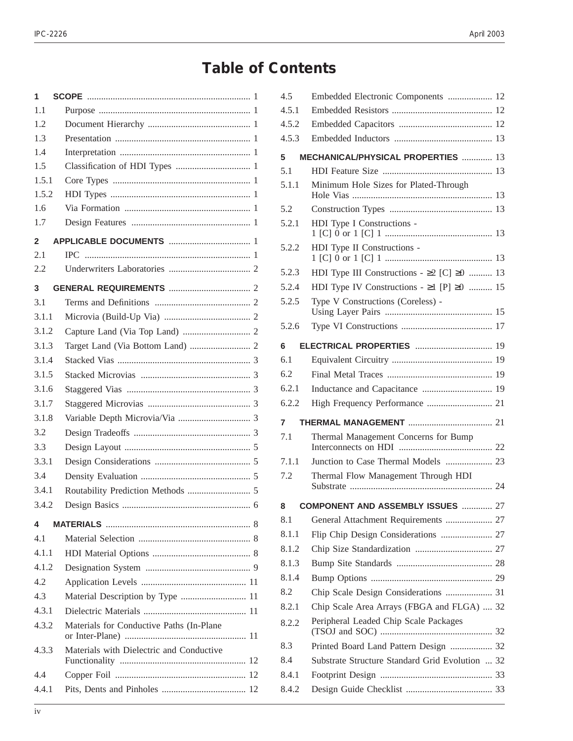# **Table of Contents**

| 1     |                                          |
|-------|------------------------------------------|
| 1.1   |                                          |
| 1.2   |                                          |
| 1.3   |                                          |
| 1.4   |                                          |
| 1.5   |                                          |
| 1.5.1 |                                          |
| 1.5.2 |                                          |
| 1.6   |                                          |
| 1.7   |                                          |
| 2     |                                          |
| 2.1   |                                          |
| 2.2   |                                          |
| 3     |                                          |
| 3.1   |                                          |
| 3.1.1 |                                          |
| 3.1.2 |                                          |
| 3.1.3 |                                          |
| 3.1.4 |                                          |
| 3.1.5 |                                          |
| 3.1.6 |                                          |
| 3.1.7 |                                          |
| 3.1.8 |                                          |
| 3.2   |                                          |
| 3.3   |                                          |
| 3.3.1 |                                          |
| 3.4   |                                          |
| 3.4.1 |                                          |
| 3.4.2 |                                          |
| 4     |                                          |
| 4.1   |                                          |
| 4.1.1 |                                          |
| 4.1.2 |                                          |
| 4.2   |                                          |
| 4.3   | Material Description by Type  11         |
| 4.3.1 |                                          |
| 4.3.2 | Materials for Conductive Paths (In-Plane |
| 4.3.3 | Materials with Dielectric and Conductive |
| 4.4   |                                          |
| 4.4.1 |                                          |

| 4.5      | Embedded Electronic Components  12                    |  |
|----------|-------------------------------------------------------|--|
| 4.5.1    |                                                       |  |
| 4.5.2    |                                                       |  |
| 4.5.3    |                                                       |  |
| 5        | MECHANICAL/PHYSICAL PROPERTIES  13                    |  |
| 5.1      |                                                       |  |
| 5.1.1    | Minimum Hole Sizes for Plated-Through                 |  |
| 5.2      |                                                       |  |
| 5.2.1    | HDI Type I Constructions -                            |  |
| 5.2.2    | HDI Type II Constructions -                           |  |
| 5.2.3    | HDI Type III Constructions - $\geq 2$ [C] $\geq 0$ 13 |  |
| 5.2.4    | HDI Type IV Constructions - $\geq 1$ [P] $\geq 0$ 15  |  |
| 5.2.5    | Type V Constructions (Coreless) -                     |  |
| 5.2.6    |                                                       |  |
| 6        | <b>ELECTRICAL PROPERTIES</b> 19                       |  |
| 6.1      |                                                       |  |
| 6.2      |                                                       |  |
| 6.2.1    | Inductance and Capacitance  19                        |  |
| 6.2.2    |                                                       |  |
|          |                                                       |  |
| 7        |                                                       |  |
| 7.1      | Thermal Management Concerns for Bump                  |  |
| 7.1.1    | Junction to Case Thermal Models  23                   |  |
| 7.2      | Thermal Flow Management Through HDI                   |  |
|          |                                                       |  |
| 8<br>8.1 | <b>COMPONENT AND ASSEMBLY ISSUES</b> 27               |  |
| 8.1.1    | Flip Chip Design Considerations  27                   |  |
| 8.1.2    |                                                       |  |
| 8.1.3    |                                                       |  |
| 8.1.4    |                                                       |  |
| 8.2      | Chip Scale Design Considerations  31                  |  |
| 8.2.1    | Chip Scale Area Arrays (FBGA and FLGA)  32            |  |
| 8.2.2    | Peripheral Leaded Chip Scale Packages                 |  |
| 8.3      | Printed Board Land Pattern Design  32                 |  |
| 8.4      | Substrate Structure Standard Grid Evolution  32       |  |
| 8.4.1    |                                                       |  |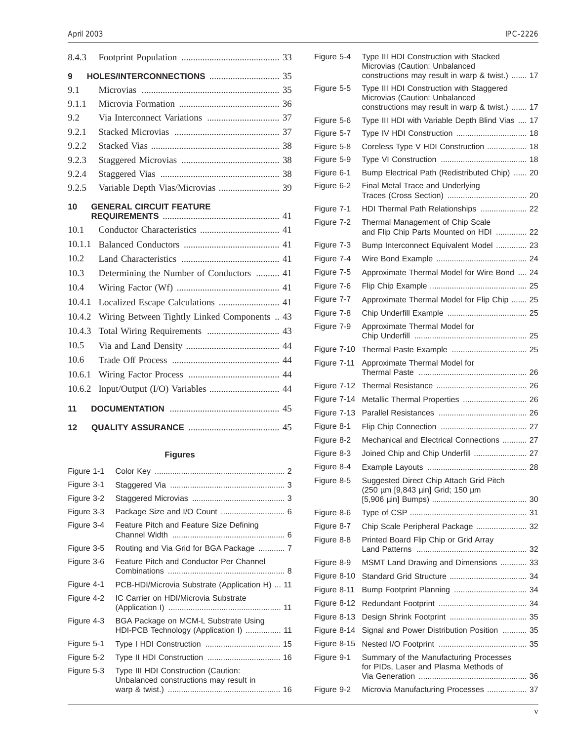| 8.4.3  |                                              |
|--------|----------------------------------------------|
| 9      |                                              |
| 9.1    |                                              |
| 9.1.1  |                                              |
| 9.2    |                                              |
| 9.2.1  |                                              |
| 9.2.2  |                                              |
| 9.2.3  |                                              |
| 9.2.4  |                                              |
| 9.2.5  | Variable Depth Vias/Microvias  39            |
| 10     | <b>GENERAL CIRCUIT FEATURE</b>               |
| 10.1   |                                              |
| 10.1.1 |                                              |
| 10.2   |                                              |
| 10.3   | Determining the Number of Conductors  41     |
| 10.4   |                                              |
| 10.4.1 | Localized Escape Calculations  41            |
| 10.4.2 | Wiring Between Tightly Linked Components  43 |
| 10.4.3 | Total Wiring Requirements  43                |
| 10.5   |                                              |
| 10.6   |                                              |
| 10.6.1 |                                              |
| 10.6.2 | Input/Output (I/O) Variables  44             |
| 11     |                                              |
| 12     |                                              |

## **Figures**

| Figure 1-1 |                                                                                |
|------------|--------------------------------------------------------------------------------|
| Figure 3-1 |                                                                                |
| Figure 3-2 |                                                                                |
| Figure 3-3 | Package Size and I/O Count  6                                                  |
| Figure 3-4 | Feature Pitch and Feature Size Defining                                        |
| Figure 3-5 |                                                                                |
| Figure 3-6 | Feature Pitch and Conductor Per Channel                                        |
| Figure 4-1 | PCB-HDI/Microvia Substrate (Application H)  11                                 |
| Figure 4-2 | IC Carrier on HDI/Microvia Substrate                                           |
| Figure 4-3 | BGA Package on MCM-L Substrate Using<br>HDI-PCB Technology (Application I)  11 |
| Figure 5-1 |                                                                                |
| Figure 5-2 |                                                                                |
| Figure 5-3 | Type III HDI Construction (Caution:<br>Unbalanced constructions may result in  |

| Figure 5-4  | Type III HDI Construction with Stacked<br>Microvias (Caution: Unbalanced<br>constructions may result in warp & twist.)  17   |
|-------------|------------------------------------------------------------------------------------------------------------------------------|
| Figure 5-5  | Type III HDI Construction with Staggered<br>Microvias (Caution: Unbalanced<br>constructions may result in warp & twist.)  17 |
| Figure 5-6  | Type III HDI with Variable Depth Blind Vias  17                                                                              |
| Figure 5-7  | Type IV HDI Construction  18                                                                                                 |
| Figure 5-8  | Coreless Type V HDI Construction  18                                                                                         |
| Figure 5-9  |                                                                                                                              |
| Figure 6-1  | Bump Electrical Path (Redistributed Chip)  20                                                                                |
| Figure 6-2  | Final Metal Trace and Underlying                                                                                             |
| Figure 7-1  | HDI Thermal Path Relationships  22                                                                                           |
| Figure 7-2  | Thermal Management of Chip Scale<br>and Flip Chip Parts Mounted on HDI  22                                                   |
| Figure 7-3  | Bump Interconnect Equivalent Model  23                                                                                       |
| Figure 7-4  |                                                                                                                              |
| Figure 7-5  | Approximate Thermal Model for Wire Bond  24                                                                                  |
| Figure 7-6  |                                                                                                                              |
| Figure 7-7  | Approximate Thermal Model for Flip Chip  25                                                                                  |
| Figure 7-8  |                                                                                                                              |
| Figure 7-9  | Approximate Thermal Model for                                                                                                |
| Figure 7-10 |                                                                                                                              |
| Figure 7-11 | Approximate Thermal Model for                                                                                                |
| Figure 7-12 |                                                                                                                              |
| Figure 7-14 | Metallic Thermal Properties  26                                                                                              |
| Figure 7-13 |                                                                                                                              |
| Figure 8-1  |                                                                                                                              |
| Figure 8-2  | Mechanical and Electrical Connections  27                                                                                    |
| Figure 8-3  | Joined Chip and Chip Underfill  27                                                                                           |
| Figure 8-4  |                                                                                                                              |
| Figure 8-5  | Suggested Direct Chip Attach Grid Pitch<br>(250 µm [9,843 µin] Grid; 150 µm                                                  |
| Figure 8-6  |                                                                                                                              |
| Figure 8-7  | Chip Scale Peripheral Package  32                                                                                            |
| Figure 8-8  | Printed Board Flip Chip or Grid Array                                                                                        |
| Figure 8-9  | MSMT Land Drawing and Dimensions  33                                                                                         |
| Figure 8-10 |                                                                                                                              |
| Figure 8-11 |                                                                                                                              |
| Figure 8-12 |                                                                                                                              |
| Figure 8-13 |                                                                                                                              |
| Figure 8-14 | Signal and Power Distribution Position  35                                                                                   |
| Figure 8-15 |                                                                                                                              |
| Figure 9-1  | Summary of the Manufacturing Processes<br>for PIDs, Laser and Plasma Methods of                                              |
| Figure 9-2  | Microvia Manufacturing Processes  37                                                                                         |
|             |                                                                                                                              |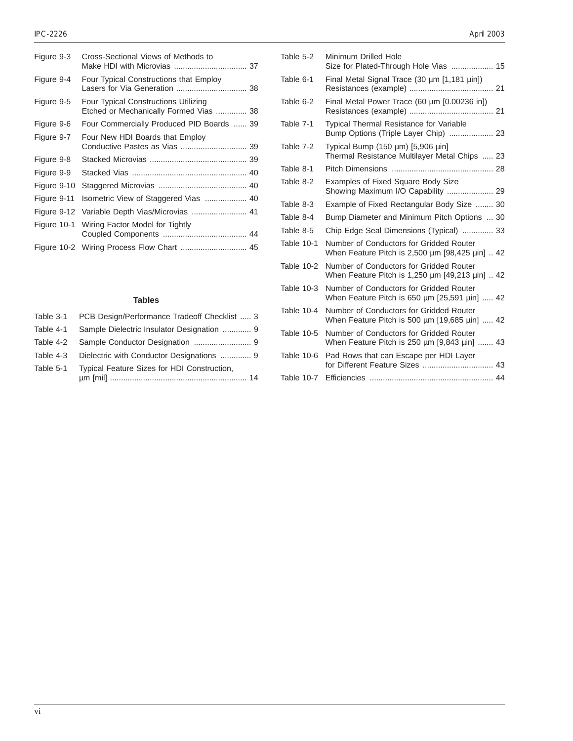| Figure 9-3  | Cross-Sectional Views of Methods to                                                   |
|-------------|---------------------------------------------------------------------------------------|
| Figure 9-4  | Four Typical Constructions that Employ<br>Lasers for Via Generation  38               |
| Figure 9-5  | <b>Four Typical Constructions Utilizing</b><br>Etched or Mechanically Formed Vias  38 |
| Figure 9-6  | Four Commercially Produced PID Boards  39                                             |
| Figure 9-7  | Four New HDI Boards that Employ<br>Conductive Pastes as Vias  39                      |
| Figure 9-8  |                                                                                       |
| Figure 9-9  |                                                                                       |
| Figure 9-10 |                                                                                       |
| Figure 9-11 |                                                                                       |
| Figure 9-12 |                                                                                       |
| Figure 10-1 | Wiring Factor Model for Tightly                                                       |
|             |                                                                                       |

### **Tables**

| Table 3-1 PCB Design/Performance Tradeoff Checklist  3 |
|--------------------------------------------------------|
| Table 4-1 Sample Dielectric Insulator Designation  9   |
|                                                        |
| Table 4-3 Dielectric with Conductor Designations  9    |
| Table 5-1 Typical Feature Sizes for HDI Construction,  |

| Table 5-2  | Minimum Drilled Hole<br>Size for Plated-Through Hole Vias  15                                |
|------------|----------------------------------------------------------------------------------------------|
| Table 6-1  | Final Metal Signal Trace (30 µm [1,181 µin])                                                 |
| Table 6-2  | Final Metal Power Trace (60 µm [0.00236 in])                                                 |
| Table 7-1  | <b>Typical Thermal Resistance for Variable</b><br>Bump Options (Triple Layer Chip)  23       |
| Table 7-2  | Typical Bump (150 $\mu$ m) [5,906 $\mu$ in]<br>Thermal Resistance Multilayer Metal Chips  23 |
| Table 8-1  |                                                                                              |
| Table 8-2  | Examples of Fixed Square Body Size<br>Showing Maximum I/O Capability  29                     |
| Table 8-3  | Example of Fixed Rectangular Body Size  30                                                   |
| Table 8-4  | Bump Diameter and Minimum Pitch Options  30                                                  |
| Table 8-5  | Chip Edge Seal Dimensions (Typical)  33                                                      |
| Table 10-1 | Number of Conductors for Gridded Router<br>When Feature Pitch is 2,500 um [98,425 uin]  42   |
| Table 10-2 | Number of Conductors for Gridded Router<br>When Feature Pitch is 1,250 um [49,213 uin]  42   |
| Table 10-3 | Number of Conductors for Gridded Router<br>When Feature Pitch is 650 um [25,591 uin]  42     |
| Table 10-4 | Number of Conductors for Gridded Router<br>When Feature Pitch is 500 um [19,685 uin]  42     |
| Table 10-5 | Number of Conductors for Gridded Router<br>When Feature Pitch is 250 um [9,843 uin]  43      |
| Table 10-6 | Pad Rows that can Escape per HDI Layer                                                       |
| Table 10-7 |                                                                                              |